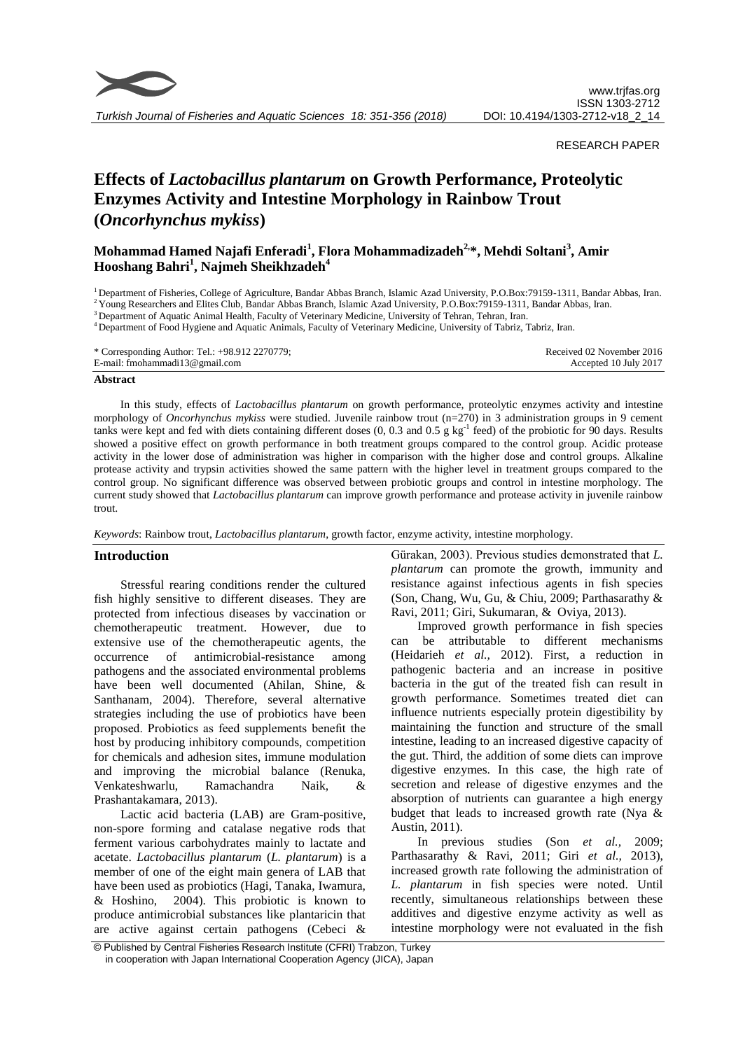

*Turkish Journal of Fisheries and Aquatic Sciences 18: 351-356 (2018)*

## RESEARCH PAPER

# **Effects of** *Lactobacillus plantarum* **on Growth Performance, Proteolytic Enzymes Activity and Intestine Morphology in Rainbow Trout (***Oncorhynchus mykiss***)**

**Mohammad Hamed Najafi Enferadi<sup>1</sup> , Flora Mohammadizadeh2, \*, Mehdi Soltani<sup>3</sup> , Amir Hooshang Bahri<sup>1</sup> , Najmeh Sheikhzadeh<sup>4</sup>**

<sup>1</sup> Department of Fisheries, College of Agriculture, Bandar Abbas Branch, Islamic Azad University, P.O.Box:79159-1311, Bandar Abbas, Iran.

<sup>2</sup>Young Researchers and Elites Club, Bandar Abbas Branch, Islamic Azad University, P.O.Box:79159-1311, Bandar Abbas, Iran.

<sup>3</sup> Department of Aquatic Animal Health, Faculty of Veterinary Medicine, University of Tehran, Tehran, Iran.

<sup>4</sup> Department of Food Hygiene and Aquatic Animals, Faculty of Veterinary Medicine, University of Tabriz, Tabriz, Iran.

| * Corresponding Author: Tel.: +98.912 2270779; | Received 02 November 2016 |
|------------------------------------------------|---------------------------|
| E-mail: fmohammadi $13@$ gmail.com             | Accepted 10 July 2017     |

#### **Abstract**

In this study, effects of *Lactobacillus plantarum* on growth performance, proteolytic enzymes activity and intestine morphology of *Oncorhynchus mykiss* were studied. Juvenile rainbow trout (n=270) in 3 administration groups in 9 cement tanks were kept and fed with diets containing different doses  $(0, 0.3 \text{ and } 0.5 \text{ g kg}^{-1} \text{ feed})$  of the probiotic for 90 days. Results showed a positive effect on growth performance in both treatment groups compared to the control group. Acidic protease activity in the lower dose of administration was higher in comparison with the higher dose and control groups. Alkaline protease activity and trypsin activities showed the same pattern with the higher level in treatment groups compared to the control group. No significant difference was observed between probiotic groups and control in intestine morphology. The current study showed that *Lactobacillus plantarum* can improve growth performance and protease activity in juvenile rainbow trout.

*Keywords*: Rainbow trout, *Lactobacillus plantarum*, growth factor, enzyme activity, intestine morphology.

#### **Introduction**

Stressful rearing conditions render the cultured fish highly sensitive to different diseases. They are protected from infectious diseases by vaccination or chemotherapeutic treatment. However, due to extensive use of the chemotherapeutic agents, the occurrence of antimicrobial-resistance among pathogens and the associated environmental problems have been well documented (Ahilan, Shine, & Santhanam, 2004). Therefore, several alternative strategies including the use of probiotics have been proposed. Probiotics as feed supplements benefit the host by producing inhibitory compounds, competition for chemicals and adhesion sites, immune modulation and improving the microbial balance (Renuka, Venkateshwarlu, Ramachandra Naik, & Prashantakamara, 2013).

Lactic acid bacteria (LAB) are Gram-positive, non-spore forming and catalase negative rods that ferment various carbohydrates mainly to lactate and acetate. *Lactobacillus plantarum* (*L. plantarum*) is a member of one of the eight main genera of LAB that have been used as probiotics (Hagi, Tanaka, Iwamura, & Hoshino, 2004). This probiotic is known to produce antimicrobial substances like plantaricin that are active against certain pathogens (Cebeci &

Gürakan, 2003). Previous studies demonstrated that *L. plantarum* can promote the growth, immunity and resistance against infectious agents in fish species (Son, Chang, Wu, Gu, & Chiu, 2009; Parthasarathy & Ravi, 2011; Giri, Sukumaran, & Oviya, 2013).

Improved growth performance in fish species can be attributable to different mechanisms (Heidarieh *et al.,* 2012). First, a reduction in pathogenic bacteria and an increase in positive bacteria in the gut of the treated fish can result in growth performance. Sometimes treated diet can influence nutrients especially protein digestibility by maintaining the function and structure of the small intestine, leading to an increased digestive capacity of the gut. Third, the addition of some diets can improve digestive enzymes. In this case, the high rate of secretion and release of digestive enzymes and the absorption of nutrients can guarantee a high energy budget that leads to increased growth rate (Nya & Austin, 2011).

In previous studies (Son *et al.,* 2009; Parthasarathy & Ravi, 2011; Giri *et al.,* 2013), increased growth rate following the administration of *L. plantarum* in fish species were noted. Until recently, simultaneous relationships between these additives and digestive enzyme activity as well as intestine morphology were not evaluated in the fish

<sup>©</sup> Published by Central Fisheries Research Institute (CFRI) Trabzon, Turkey in cooperation with Japan International Cooperation Agency (JICA), Japan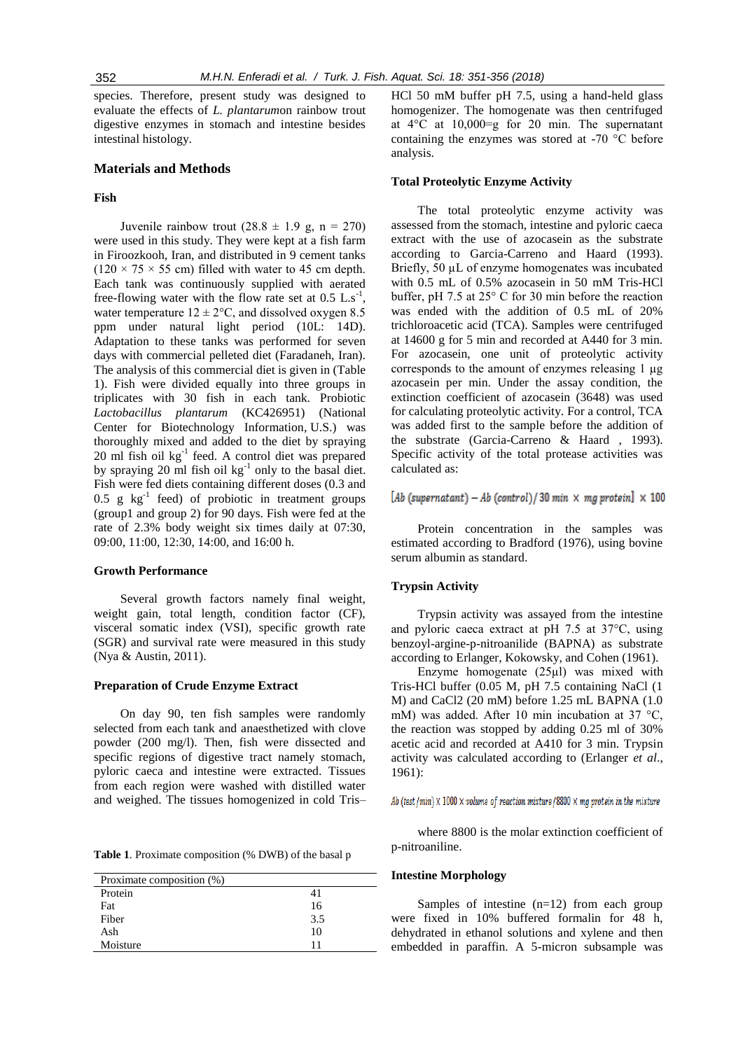species. Therefore, present study was designed to evaluate the effects of *L. plantarum*on rainbow trout digestive enzymes in stomach and intestine besides intestinal histology.

#### **Materials and Methods**

## **Fish**

Juvenile rainbow trout  $(28.8 \pm 1.9 \text{ g}, \text{ n} = 270)$ were used in this study. They were kept at a fish farm in Firoozkooh, Iran, and distributed in 9 cement tanks  $(120 \times 75 \times 55$  cm) filled with water to 45 cm depth. Each tank was continuously supplied with aerated free-flowing water with the flow rate set at  $0.5$  L.s<sup>-1</sup>, water temperature  $12 \pm 2$ °C, and dissolved oxygen 8.5 ppm under natural light period (10L: 14D). Adaptation to these tanks was performed for seven days with commercial pelleted diet (Faradaneh, Iran). The analysis of this commercial diet is given in (Table 1). Fish were divided equally into three groups in triplicates with 30 fish in each tank. Probiotic *Lactobacillus plantarum* (KC426951) [\(National](http://www.ncbi.nlm.nih.gov/)  [Center for Biotechnology Information,](http://www.ncbi.nlm.nih.gov/) U.S.) was thoroughly mixed and added to the diet by spraying 20 ml fish oil kg-1 feed. A control diet was prepared by spraying 20 ml fish oil  $kg^{-1}$  only to the basal diet. Fish were fed diets containing different doses (0.3 and  $0.5$  g kg<sup>-1</sup> feed) of probiotic in treatment groups (group1 and group 2) for 90 days. Fish were fed at the rate of 2.3% body weight six times daily at 07:30, 09:00, 11:00, 12:30, 14:00, and 16:00 h.

# **Growth Performance**

Several growth factors namely final weight, weight gain, total length, condition factor (CF), visceral somatic index (VSI), specific growth rate (SGR) and survival rate were measured in this study (Nya & Austin, 2011).

## **Preparation of Crude Enzyme Extract**

On day 90, ten fish samples were randomly selected from each tank and anaesthetized with clove powder (200 mg/l). Then, fish were dissected and specific regions of digestive tract namely stomach, pyloric caeca and intestine were extracted. Tissues from each region were washed with distilled water and weighed. The tissues homogenized in cold Tris–

**Table 1**. Proximate composition (% DWB) of the basal p

| Proximate composition (%) |     |
|---------------------------|-----|
| Protein                   | 41  |
| Fat                       | 16  |
| Fiber                     | 3.5 |
| Ash                       | 10  |
| Moisture                  | 11  |

HCl 50 mM buffer pH 7.5, using a hand-held glass homogenizer. The homogenate was then centrifuged at 4°C at 10,000=g for 20 min. The supernatant containing the enzymes was stored at -70 °C before analysis.

## **Total Proteolytic Enzyme Activity**

The total proteolytic enzyme activity was assessed from the stomach, intestine and pyloric caeca extract with the use of azocasein as the substrate according to Garcia-Carreno and Haard (1993). Briefly, 50  $\mu$ L of enzyme homogenates was incubated with 0.5 mL of 0.5% azocasein in 50 mM Tris-HCl buffer, pH 7.5 at 25° C for 30 min before the reaction was ended with the addition of 0.5 mL of 20% trichloroacetic acid (TCA). Samples were centrifuged at 14600 g for 5 min and recorded at A440 for 3 min. For azocasein, one unit of proteolytic activity corresponds to the amount of enzymes releasing 1 µg azocasein per min. Under the assay condition, the extinction coefficient of azocasein (3648) was used for calculating proteolytic activity. For a control, TCA was added first to the sample before the addition of the substrate (Garcia-Carreno & Haard , 1993). Specific activity of the total protease activities was calculated as:

[Ab (supernatant) - Ab (control)/30 min  $\times$  mg protein]  $\times$  100

Protein concentration in the samples was estimated according to Bradford (1976), using bovine serum albumin as standard.

#### **Trypsin Activity**

Trypsin activity was assayed from the intestine and pyloric caeca extract at pH 7.5 at 37°C, using benzoyl-argine-p-nitroanilide (BAPNA) as substrate according to Erlanger, Kokowsky, and Cohen (1961).

Enzyme homogenate (25µl) was mixed with Tris-HCl buffer (0.05 M, pH 7.5 containing NaCl (1 M) and CaCl2 (20 mM) before 1.25 mL BAPNA (1.0 mM) was added. After 10 min incubation at 37 °C, the reaction was stopped by adding 0.25 ml of 30% acetic acid and recorded at A410 for 3 min. Trypsin activity was calculated according to (Erlanger *et al*., 1961):

Ab (test /min)  $\times$  1000  $\times$  volume of reaction mixture /8800  $\times$  mg protein in the mixture

where 8800 is the molar extinction coefficient of p-nitroaniline.

## **Intestine Morphology**

Samples of intestine (n=12) from each group were fixed in 10% buffered formalin for 48 h, dehydrated in ethanol solutions and xylene and then embedded in paraffin. A 5-micron subsample was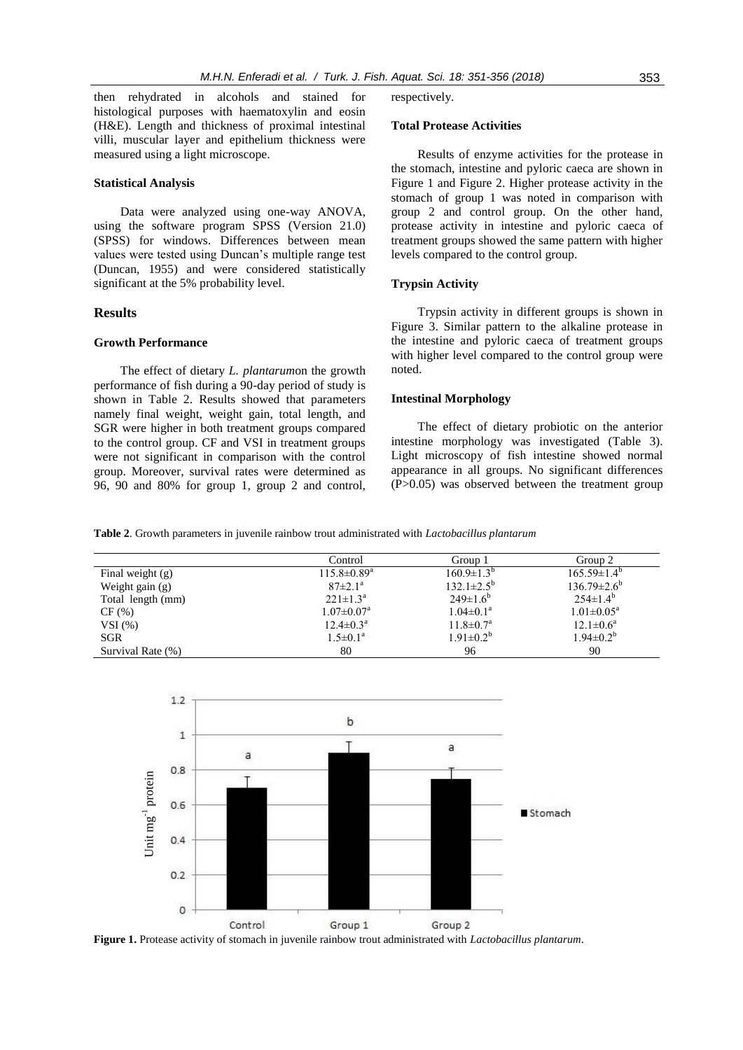then rehydrated in alcohols and stained histological purposes with haematoxylin and eosin (H&E). Length and thickness of proximal intestinal villi, muscular layer and epithelium thickness were measured using a light microscope.

## **Statistical Analysis**

Data were analyzed using one-way ANOVA, using the software program SPSS (Version 21.0) (SPSS) for windows. Differences between mean values were tested using Duncan's multiple range test (Duncan, 1955) and were considered statistically significant at the 5% probability level.

## **Results**

## **Growth Performance**

The effect of dietary *L. plantarum*on the growth performance of fish during a 90-day period of study is shown in Table 2. Results showed that parameters namely final weight, weight gain, total length, and SGR were higher in both treatment groups compared to the control group. CF and VSI in treatment groups were not significant in comparison with the control group. Moreover, survival rates were determined as 96, 90 and 80% for group 1, group 2 and control, respectively.

#### **Total Protease Activities**

Results of enzyme activities for the protease in the stomach, intestine and pyloric caeca are shown in Figure 1 and Figure 2. Higher protease activity in the stomach of group 1 was noted in comparison with group 2 and control group. On the other hand, protease activity in intestine and pyloric caeca of treatment groups showed the same pattern with higher levels compared to the control group.

## **Trypsin Activity**

Trypsin activity in different groups is shown in Figure 3. Similar pattern to the alkaline protease in the intestine and pyloric caeca of treatment groups with higher level compared to the control group were noted.

## **Intestinal Morphology**

The effect of dietary probiotic on the anterior intestine morphology was investigated (Table 3). Light microscopy of fish intestine showed normal appearance in all groups. No significant differences (P>0.05) was observed between the treatment group

**Table 2**. Growth parameters in juvenile rainbow trout administrated with *Lactobacillus plantarum*

|                   | Control                       | Group 1                 | Group 2                    |
|-------------------|-------------------------------|-------------------------|----------------------------|
| Final weight (g)  | $115.8 \pm 0.89$ <sup>a</sup> | $160.9 \pm 1.3^{b}$     | $165.59 \pm 1.4^{\circ}$   |
| Weight gain (g)   | $87 \pm 2.1^{\circ}$          | $132.1 \pm 2.5^{\rm b}$ | $136.79 \pm 2.6^{\circ}$   |
| Total length (mm) | $221 \pm 1.3^{\rm a}$         | $249 \pm 1.6^b$         | $254 \pm 1.4^b$            |
| CF(%)             | $1.07 \pm 0.07$ <sup>a</sup>  | $1.04 \pm 0.1^a$        | $1.01 \pm 0.05^{\text{a}}$ |
| VSI(%)            | $12.4 \pm 0.3^{\text{a}}$     | $11.8 \pm 0.7^{\rm a}$  | $12.1 \pm 0.6^a$           |
| SGR               | $1.5 \pm 0.1^a$               | $1.91 \pm 0.2^{b}$      | $1.94 \pm 0.2^b$           |
| Survival Rate (%) | 80                            | 96                      | 90                         |

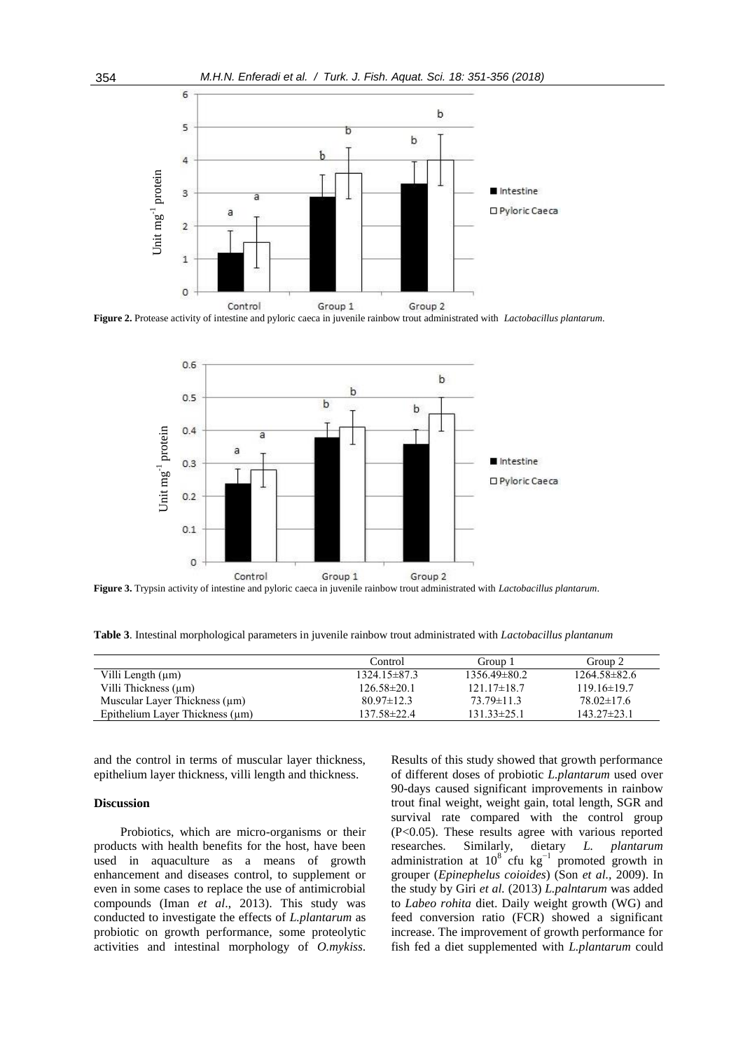

**Figure 2.** Protease activity of intestine and pyloric caeca in juvenile rainbow trout administrated with *Lactobacillus plantarum*.



**Figure 3.** Trypsin activity of intestine and pyloric caeca in juvenile rainbow trout administrated with *Lactobacillus plantarum*.

**Table 3**. Intestinal morphological parameters in juvenile rainbow trout administrated with *Lactobacillus plantanum*

|                                      | Control            | Group 1          | Group 2          |
|--------------------------------------|--------------------|------------------|------------------|
| Villi Length (µm)                    | $1324.15 \pm 87.3$ | $1356.49\pm80.2$ | $1264.58\pm82.6$ |
| Villi Thickness $(\mu m)$            | $126.58 \pm 20.1$  | $121.17\pm18.7$  | $119.16\pm19.7$  |
| Muscular Layer Thickness $(\mu m)$   | $80.97 \pm 12.3$   | $73.79 \pm 11.3$ | $78.02\pm17.6$   |
| Epithelium Layer Thickness $(\mu m)$ | $137.58 \pm 22.4$  | $131.33\pm25.1$  | $143.27\pm23.1$  |

and the control in terms of muscular layer thickness, epithelium layer thickness, villi length and thickness.

## **Discussion**

Probiotics, which are micro-organisms or their products with health benefits for the host, have been used in aquaculture as a means of growth enhancement and diseases control, to supplement or even in some cases to replace the use of antimicrobial compounds (Iman *et al*., 2013). This study was conducted to investigate the effects of *L.plantarum* as probiotic on growth performance, some proteolytic activities and intestinal morphology of *O.mykiss*. Results of this study showed that growth performance of different doses of probiotic *L.plantarum* used over 90-days caused significant improvements in rainbow trout final weight, weight gain, total length, SGR and survival rate compared with the control group (P<0.05). These results agree with various reported researches. Similarly, dietary *L. plantarum*  administration at  $10^8$  cfu kg<sup>-1</sup> promoted growth in grouper (*Epinephelus coioides*) (Son *et al.,* 2009). In the study by Giri *et al.* (2013) *L.palntarum* was added to *Labeo rohita* diet. Daily weight growth (WG) and feed conversion ratio (FCR) showed a significant increase. The improvement of growth performance for fish fed a diet supplemented with *L.plantarum* could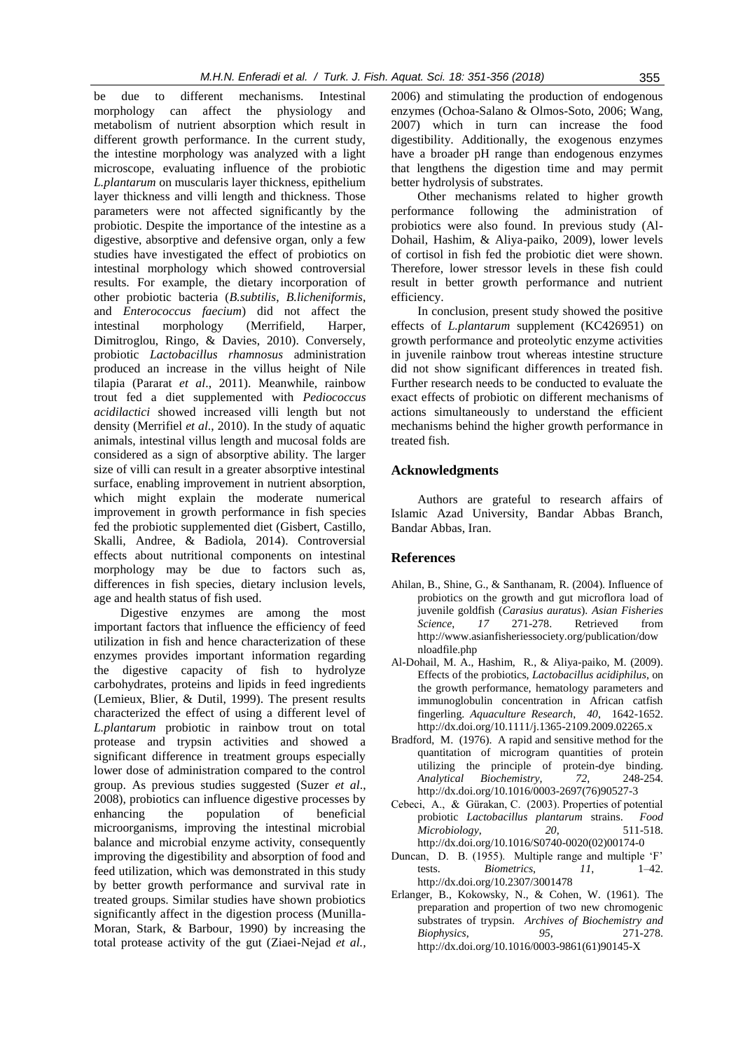be due to different mechanisms. Intestinal morphology can affect the physiology and metabolism of nutrient absorption which result in different growth performance. In the current study, the intestine morphology was analyzed with a light microscope, evaluating influence of the probiotic *L.plantarum* on muscularis layer thickness, epithelium layer thickness and villi length and thickness. Those parameters were not affected significantly by the probiotic. Despite the importance of the intestine as a digestive, absorptive and defensive organ, only a few studies have investigated the effect of probiotics on intestinal morphology which showed controversial results. For example, the dietary incorporation of other probiotic bacteria (*B.subtilis*, *B.licheniformis*, and *Enterococcus faecium*) did not affect the intestinal morphology (Merrifield, Harper, Dimitroglou, Ringo, & Davies, 2010). Conversely, probiotic *Lactobacillus rhamnosus* administration produced an increase in the villus height of Nile tilapia (Pararat *et al*., 2011). Meanwhile, rainbow trout fed a diet supplemented with *Pediococcus acidilactici* showed increased villi length but not density (Merrifiel *et al*., 2010). In the study of aquatic animals, intestinal villus length and mucosal folds are considered as a sign of absorptive ability. The larger size of villi can result in a greater absorptive intestinal surface, enabling improvement in nutrient absorption, which might explain the moderate numerical improvement in growth performance in fish species fed the probiotic supplemented diet (Gisbert, Castillo, Skalli, Andree, & Badiola, 2014). Controversial effects about nutritional components on intestinal morphology may be due to factors such as, differences in fish species, dietary inclusion levels, age and health status of fish used.

Digestive enzymes are among the most important factors that influence the efficiency of feed utilization in fish and hence characterization of these enzymes provides important information regarding the digestive capacity of fish to hydrolyze carbohydrates, proteins and lipids in feed ingredients (Lemieux, Blier, & Dutil, 1999). The present results characterized the effect of using a different level of *L.plantarum* probiotic in rainbow trout on total protease and trypsin activities and showed a significant difference in treatment groups especially lower dose of administration compared to the control group. As previous studies suggested (Suzer *et al*., 2008), probiotics can influence digestive processes by enhancing the population of beneficial microorganisms, improving the intestinal microbial balance and microbial enzyme activity, consequently improving the digestibility and absorption of food and feed utilization, which was demonstrated in this study by better growth performance and survival rate in treated groups. Similar studies have shown probiotics significantly affect in the digestion process (Munilla-Moran, Stark, & Barbour, 1990) by increasing the total protease activity of the gut (Ziaei-Nejad *et al.,*

2006) and stimulating the production of endogenous enzymes (Ochoa-Salano & Olmos-Soto, 2006; Wang, 2007) which in turn can increase the food digestibility. Additionally, the exogenous enzymes have a broader pH range than endogenous enzymes that lengthens the digestion time and may permit better hydrolysis of substrates.

Other mechanisms related to higher growth performance following the administration of probiotics were also found. In previous study (Al-Dohail, Hashim, & Aliya-paiko, 2009), lower levels of cortisol in fish fed the probiotic diet were shown. Therefore, lower stressor levels in these fish could result in better growth performance and nutrient efficiency.

In conclusion, present study showed the positive effects of *L.plantarum* supplement (KC426951) on growth performance and proteolytic enzyme activities in juvenile rainbow trout whereas intestine structure did not show significant differences in treated fish. Further research needs to be conducted to evaluate the exact effects of probiotic on different mechanisms of actions simultaneously to understand the efficient mechanisms behind the higher growth performance in treated fish.

# **Acknowledgments**

Authors are grateful to research affairs of Islamic Azad University, Bandar Abbas Branch, Bandar Abbas, Iran.

## **References**

- Ahilan, B., Shine, G., & Santhanam, R. (2004). Influence of probiotics on the growth and gut microflora load of juvenile goldfish (*Carasius auratus*). *Asian Fisheries Science*, *17* 271-278. Retrieved from [http://www.asianfisheriessociety.org/publication/dow](http://www.asianfisheriessociety.org/publication/downloadfile.php) [nloadfile.php](http://www.asianfisheriessociety.org/publication/downloadfile.php)
- Al-Dohail, M. A., Hashim, R., & Aliya-paiko, M. (2009). Effects of the probiotics, *Lactobacillus acidiphilus*, on the growth performance, hematology parameters and immunoglobulin concentration in African catfish fingerling. *Aquaculture Research*, *40*, 1642-1652. http://dx.doi.org/10.1111/j.1365-2109.2009.02265.x
- Bradford, M. (1976). A rapid and sensitive method for the quantitation of microgram quantities of protein utilizing the principle of protein-dye binding. *Analytical Biochemistry*, *72*, 248-254. http://dx.doi.org/10.1016/0003-2697(76)90527-3
- Cebeci, A., & Gürakan, C. (2003). Properties of potential probiotic *Lactobacillus plantarum* strains. *Food Microbiology*, *20*, 511-518. http://dx.doi.org/10.1016/S0740-0020(02)00174-0
- Duncan, D. B. (1955). Multiple range and multiple 'F' tests. *Biometrics*, *11*, 1–42. [http://dx.doi.org/10.2307/3](http://dx.doi.org/10.2307/)001478
- Erlanger, B., Kokowsky, N., & Cohen, W. (1961). The preparation and propertion of two new chromogenic substrates of trypsin. *Archives of Biochemistry and Biophysics*, *95*, 271-278. [http://dx.doi.org/10.1016/0003-9861\(61\)90145-X](http://dx.doi.org/10.1016/0003-9861(61)90145-X)